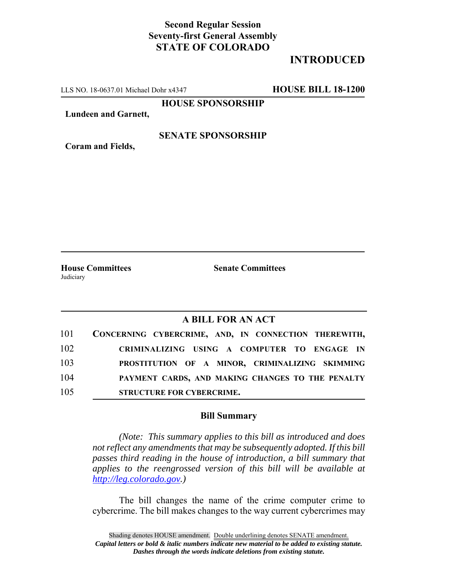## **Second Regular Session Seventy-first General Assembly STATE OF COLORADO**

# **INTRODUCED**

LLS NO. 18-0637.01 Michael Dohr x4347 **HOUSE BILL 18-1200**

**HOUSE SPONSORSHIP**

**Lundeen and Garnett,**

#### **SENATE SPONSORSHIP**

**Coram and Fields,**

Judiciary

**House Committees Senate Committees** 

### **A BILL FOR AN ACT**

| 101 | CONCERNING CYBERCRIME, AND, IN CONNECTION THEREWITH, |
|-----|------------------------------------------------------|
| 102 | CRIMINALIZING USING A COMPUTER TO ENGAGE IN          |
| 103 | PROSTITUTION OF A MINOR, CRIMINALIZING SKIMMING      |
| 104 | PAYMENT CARDS, AND MAKING CHANGES TO THE PENALTY     |
| 105 | <b>STRUCTURE FOR CYBERCRIME.</b>                     |

#### **Bill Summary**

*(Note: This summary applies to this bill as introduced and does not reflect any amendments that may be subsequently adopted. If this bill passes third reading in the house of introduction, a bill summary that applies to the reengrossed version of this bill will be available at http://leg.colorado.gov.)*

The bill changes the name of the crime computer crime to cybercrime. The bill makes changes to the way current cybercrimes may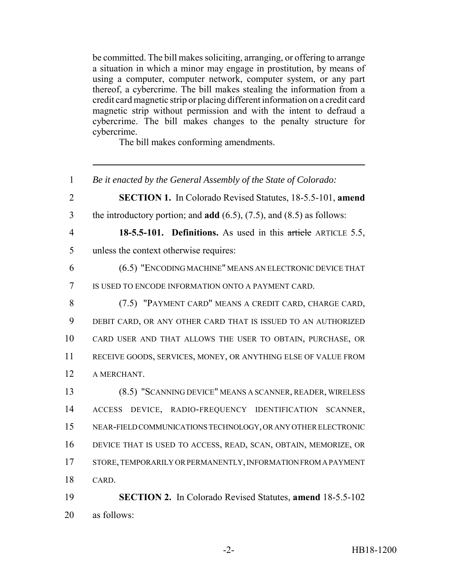be committed. The bill makes soliciting, arranging, or offering to arrange a situation in which a minor may engage in prostitution, by means of using a computer, computer network, computer system, or any part thereof, a cybercrime. The bill makes stealing the information from a credit card magnetic strip or placing different information on a credit card magnetic strip without permission and with the intent to defraud a cybercrime. The bill makes changes to the penalty structure for cybercrime.

The bill makes conforming amendments.

 *Be it enacted by the General Assembly of the State of Colorado:* **SECTION 1.** In Colorado Revised Statutes, 18-5.5-101, **amend** the introductory portion; and **add** (6.5), (7.5), and (8.5) as follows: **18-5.5-101. Definitions.** As used in this article ARTICLE 5.5, unless the context otherwise requires: (6.5) "ENCODING MACHINE" MEANS AN ELECTRONIC DEVICE THAT IS USED TO ENCODE INFORMATION ONTO A PAYMENT CARD. (7.5) "PAYMENT CARD" MEANS A CREDIT CARD, CHARGE CARD, DEBIT CARD, OR ANY OTHER CARD THAT IS ISSUED TO AN AUTHORIZED CARD USER AND THAT ALLOWS THE USER TO OBTAIN, PURCHASE, OR RECEIVE GOODS, SERVICES, MONEY, OR ANYTHING ELSE OF VALUE FROM A MERCHANT. (8.5) "SCANNING DEVICE" MEANS A SCANNER, READER, WIRELESS ACCESS DEVICE, RADIO-FREQUENCY IDENTIFICATION SCANNER, NEAR-FIELD COMMUNICATIONS TECHNOLOGY, OR ANY OTHER ELECTRONIC DEVICE THAT IS USED TO ACCESS, READ, SCAN, OBTAIN, MEMORIZE, OR STORE, TEMPORARILY OR PERMANENTLY, INFORMATION FROM A PAYMENT CARD. **SECTION 2.** In Colorado Revised Statutes, **amend** 18-5.5-102 as follows: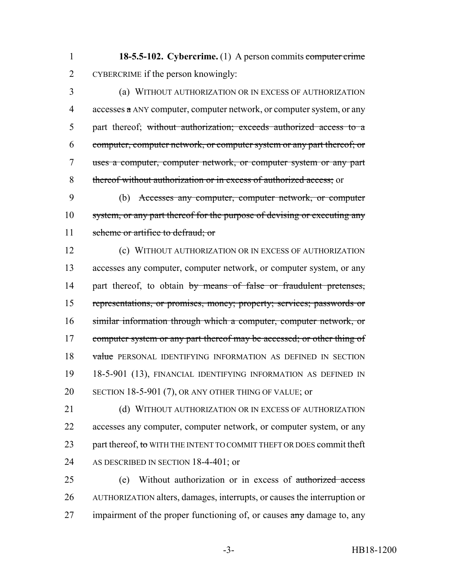**18-5.5-102. Cybercrime.** (1) A person commits computer crime CYBERCRIME if the person knowingly:

 (a) WITHOUT AUTHORIZATION OR IN EXCESS OF AUTHORIZATION accesses  $\alpha$  ANY computer, computer network, or computer system, or any part thereof; without authorization; exceeds authorized access to a computer, computer network, or computer system or any part thereof; or uses a computer, computer network, or computer system or any part thereof without authorization or in excess of authorized access; or

 (b) Accesses any computer, computer network, or computer 10 system, or any part thereof for the purpose of devising or executing any 11 scheme or artifice to defraud; or

 (c) WITHOUT AUTHORIZATION OR IN EXCESS OF AUTHORIZATION accesses any computer, computer network, or computer system, or any 14 part thereof, to obtain by means of false or fraudulent pretenses, representations, or promises, money; property; services; passwords or similar information through which a computer, computer network, or 17 computer system or any part thereof may be accessed; or other thing of 18 value PERSONAL IDENTIFYING INFORMATION AS DEFINED IN SECTION 18-5-901 (13), FINANCIAL IDENTIFYING INFORMATION AS DEFINED IN 20 SECTION 18-5-901 (7), OR ANY OTHER THING OF VALUE; or

21 (d) WITHOUT AUTHORIZATION OR IN EXCESS OF AUTHORIZATION accesses any computer, computer network, or computer system, or any 23 part thereof, to WITH THE INTENT TO COMMIT THEFT OR DOES commit theft 24 AS DESCRIBED IN SECTION 18-4-401; or

 (e) Without authorization or in excess of authorized access AUTHORIZATION alters, damages, interrupts, or causes the interruption or 27 impairment of the proper functioning of, or causes any damage to, any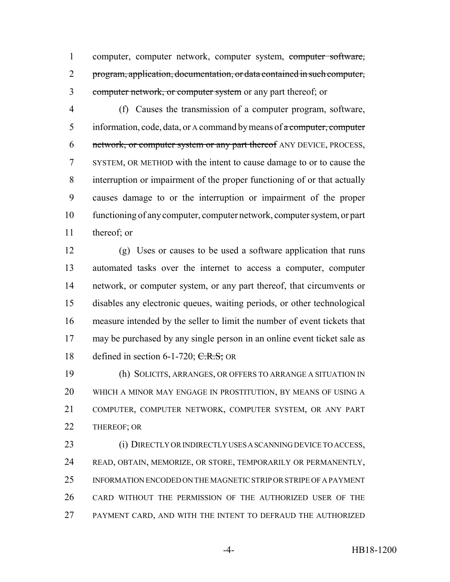computer, computer network, computer system, computer software, program, application, documentation, or data contained in such computer, 3 computer network, or computer system or any part thereof; or

 (f) Causes the transmission of a computer program, software, 5 information, code, data, or A command by means of a computer, computer 6 network, or computer system or any part thereof ANY DEVICE, PROCESS, SYSTEM, OR METHOD with the intent to cause damage to or to cause the interruption or impairment of the proper functioning of or that actually causes damage to or the interruption or impairment of the proper functioning of any computer, computer network, computer system, or part thereof; or

 (g) Uses or causes to be used a software application that runs automated tasks over the internet to access a computer, computer network, or computer system, or any part thereof, that circumvents or disables any electronic queues, waiting periods, or other technological measure intended by the seller to limit the number of event tickets that may be purchased by any single person in an online event ticket sale as 18 defined in section 6-1-720;  $C.R.S$ ; OR

 (h) SOLICITS, ARRANGES, OR OFFERS TO ARRANGE A SITUATION IN WHICH A MINOR MAY ENGAGE IN PROSTITUTION, BY MEANS OF USING A COMPUTER, COMPUTER NETWORK, COMPUTER SYSTEM, OR ANY PART THEREOF; OR

 (i) DIRECTLY OR INDIRECTLY USES A SCANNING DEVICE TO ACCESS, READ, OBTAIN, MEMORIZE, OR STORE, TEMPORARILY OR PERMANENTLY, INFORMATION ENCODED ON THE MAGNETIC STRIP OR STRIPE OF A PAYMENT CARD WITHOUT THE PERMISSION OF THE AUTHORIZED USER OF THE PAYMENT CARD, AND WITH THE INTENT TO DEFRAUD THE AUTHORIZED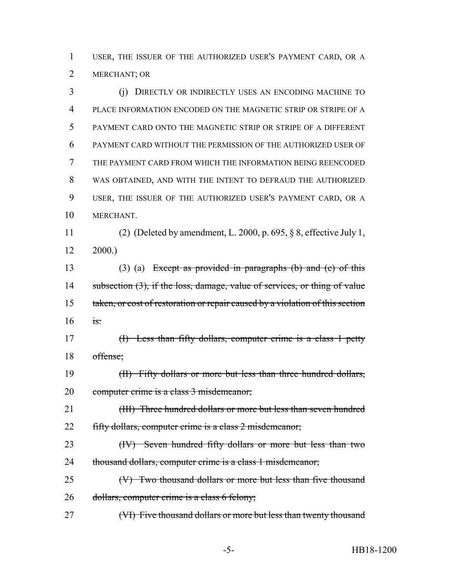USER, THE ISSUER OF THE AUTHORIZED USER'S PAYMENT CARD, OR A MERCHANT; OR

 (j) DIRECTLY OR INDIRECTLY USES AN ENCODING MACHINE TO PLACE INFORMATION ENCODED ON THE MAGNETIC STRIP OR STRIPE OF A PAYMENT CARD ONTO THE MAGNETIC STRIP OR STRIPE OF A DIFFERENT PAYMENT CARD WITHOUT THE PERMISSION OF THE AUTHORIZED USER OF THE PAYMENT CARD FROM WHICH THE INFORMATION BEING REENCODED WAS OBTAINED, AND WITH THE INTENT TO DEFRAUD THE AUTHORIZED USER, THE ISSUER OF THE AUTHORIZED USER'S PAYMENT CARD, OR A MERCHANT. (2) (Deleted by amendment, L. 2000, p. 695, § 8, effective July 1, 2000.) (3) (a) Except as provided in paragraphs (b) and (c) of this 14 subsection (3), if the loss, damage, value of services, or thing of value 15 taken, or cost of restoration or repair caused by a violation of this section is: (I) Less than fifty dollars, computer crime is a class 1 petty offense; (II) Fifty dollars or more but less than three hundred dollars, 20 computer crime is a class 3 misdemeanor; 21 (III) Three hundred dollars or more but less than seven hundred 22 fifty dollars, computer crime is a class 2 misdemeanor; 23 (IV) Seven hundred fifty dollars or more but less than two 24 thousand dollars, computer crime is a class 1 misdemeanor; (V) Two thousand dollars or more but less than five thousand dollars, computer crime is a class 6 felony; (VI) Five thousand dollars or more but less than twenty thousand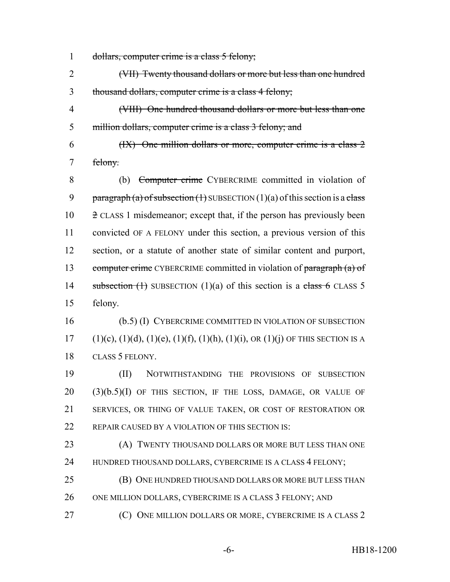- 1 dollars, computer crime is a class 5 felony;
- (VII) Twenty thousand dollars or more but less than one hundred thousand dollars, computer crime is a class 4 felony;
- (VIII) One hundred thousand dollars or more but less than one million dollars, computer crime is a class 3 felony; and
- (IX) One million dollars or more, computer crime is a class 2 felony.
- (b) Computer crime CYBERCRIME committed in violation of 9 paragraph (a) of subsection  $(1)$  SUBSECTION  $(1)(a)$  of this section is a class 2 CLASS 1 misdemeanor; except that, if the person has previously been convicted OF A FELONY under this section, a previous version of this section, or a statute of another state of similar content and purport, 13 computer crime CYBERCRIME committed in violation of paragraph (a) of 14 subsection  $(1)$  SUBSECTION  $(1)(a)$  of this section is a class 6 CLASS 5 felony.
- (b.5) (I) CYBERCRIME COMMITTED IN VIOLATION OF SUBSECTION 17 (1)(c), (1)(d), (1)(e), (1)(f), (1)(h), (1)(i), OR (1)(j) OF THIS SECTION IS A CLASS 5 FELONY.

 (II) NOTWITHSTANDING THE PROVISIONS OF SUBSECTION (3)(b.5)(I) OF THIS SECTION, IF THE LOSS, DAMAGE, OR VALUE OF SERVICES, OR THING OF VALUE TAKEN, OR COST OF RESTORATION OR 22 REPAIR CAUSED BY A VIOLATION OF THIS SECTION IS:

- 23 (A) TWENTY THOUSAND DOLLARS OR MORE BUT LESS THAN ONE 24 HUNDRED THOUSAND DOLLARS, CYBERCRIME IS A CLASS 4 FELONY;
- **(B) ONE HUNDRED THOUSAND DOLLARS OR MORE BUT LESS THAN** 26 ONE MILLION DOLLARS, CYBERCRIME IS A CLASS 3 FELONY; AND
- **(C)** ONE MILLION DOLLARS OR MORE, CYBERCRIME IS A CLASS 2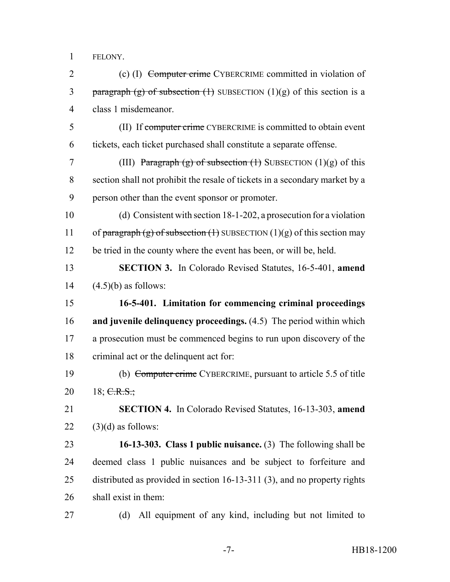FELONY.

2 (c) (I) Computer crime CYBERCRIME committed in violation of 3 paragraph (g) of subsection  $(1)$  SUBSECTION  $(1)(g)$  of this section is a class 1 misdemeanor.

 (II) If computer crime CYBERCRIME is committed to obtain event tickets, each ticket purchased shall constitute a separate offense.

7 (III) Paragraph (g) of subsection  $(1)$  SUBSECTION  $(1)(g)$  of this section shall not prohibit the resale of tickets in a secondary market by a person other than the event sponsor or promoter.

 (d) Consistent with section 18-1-202, a prosecution for a violation 11 of paragraph (g) of subsection (1) SUBSECTION (1)(g) of this section may be tried in the county where the event has been, or will be, held.

 **SECTION 3.** In Colorado Revised Statutes, 16-5-401, **amend**  $14 \qquad (4.5)$ (b) as follows:

 **16-5-401. Limitation for commencing criminal proceedings and juvenile delinquency proceedings.** (4.5) The period within which a prosecution must be commenced begins to run upon discovery of the criminal act or the delinquent act for:

 (b) Computer crime CYBERCRIME, pursuant to article 5.5 of title 20 18; C.R.S.;

 **SECTION 4.** In Colorado Revised Statutes, 16-13-303, **amend** (3)(d) as follows:

 **16-13-303. Class 1 public nuisance.** (3) The following shall be deemed class 1 public nuisances and be subject to forfeiture and distributed as provided in section 16-13-311 (3), and no property rights shall exist in them:

(d) All equipment of any kind, including but not limited to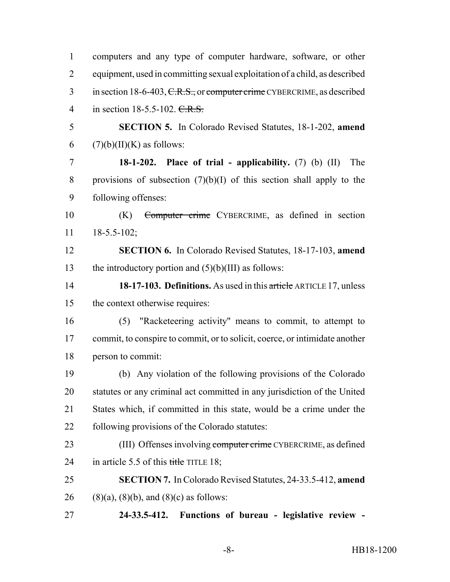| $\mathbf{1}$   | computers and any type of computer hardware, software, or other             |
|----------------|-----------------------------------------------------------------------------|
| $\overline{2}$ | equipment, used in committing sexual exploitation of a child, as described  |
| 3              | in section 18-6-403, C.R.S., or computer crime CYBERCRIME, as described     |
| $\overline{4}$ | in section 18-5.5-102. $C.R.S.$                                             |
| 5              | <b>SECTION 5.</b> In Colorado Revised Statutes, 18-1-202, amend             |
| 6              | $(7)(b)(II)(K)$ as follows:                                                 |
| $\overline{7}$ | 18-1-202. Place of trial - applicability. $(7)$ (b) $(II)$<br>The           |
| 8              | provisions of subsection $(7)(b)(I)$ of this section shall apply to the     |
| 9              | following offenses:                                                         |
| 10             | Computer crime CYBERCRIME, as defined in section<br>(K)                     |
| 11             | $18 - 5.5 - 102$ ;                                                          |
| 12             | <b>SECTION 6.</b> In Colorado Revised Statutes, 18-17-103, amend            |
| 13             | the introductory portion and $(5)(b)(III)$ as follows:                      |
| 14             | 18-17-103. Definitions. As used in this article ARTICLE 17, unless          |
| 15             | the context otherwise requires:                                             |
| 16             | (5) "Racketeering activity" means to commit, to attempt to                  |
| 17             | commit, to conspire to commit, or to solicit, coerce, or intimidate another |
| 18             | person to commit:                                                           |
| 19             | (b) Any violation of the following provisions of the Colorado               |
| 20             | statutes or any criminal act committed in any jurisdiction of the United    |
| 21             | States which, if committed in this state, would be a crime under the        |
| 22             | following provisions of the Colorado statutes:                              |
| 23             | (III) Offenses involving computer crime CYBERCRIME, as defined              |
| 24             | in article 5.5 of this title TITLE 18;                                      |
| 25             | <b>SECTION 7.</b> In Colorado Revised Statutes, 24-33.5-412, amend          |
| 26             | $(8)(a)$ , $(8)(b)$ , and $(8)(c)$ as follows:                              |
| 27             | Functions of bureau - legislative review -<br>24-33.5-412.                  |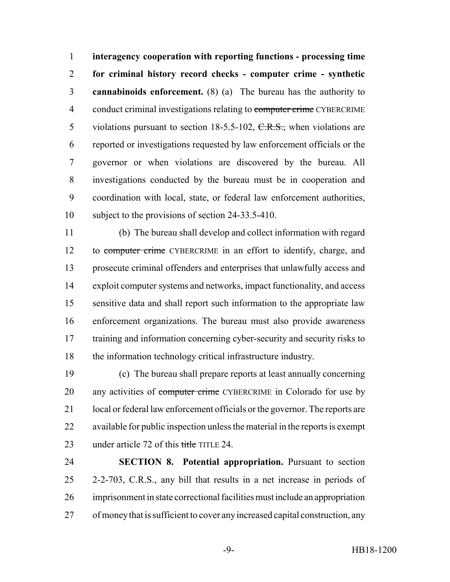**interagency cooperation with reporting functions - processing time for criminal history record checks - computer crime - synthetic cannabinoids enforcement.** (8) (a) The bureau has the authority to 4 conduct criminal investigations relating to computer crime CYBERCRIME 5 violations pursuant to section  $18-5.5-102$ ,  $C.R.S.,$  when violations are reported or investigations requested by law enforcement officials or the governor or when violations are discovered by the bureau. All investigations conducted by the bureau must be in cooperation and coordination with local, state, or federal law enforcement authorities, subject to the provisions of section 24-33.5-410.

 (b) The bureau shall develop and collect information with regard to computer crime CYBERCRIME in an effort to identify, charge, and prosecute criminal offenders and enterprises that unlawfully access and exploit computer systems and networks, impact functionality, and access sensitive data and shall report such information to the appropriate law enforcement organizations. The bureau must also provide awareness 17 training and information concerning cyber-security and security risks to the information technology critical infrastructure industry.

 (c) The bureau shall prepare reports at least annually concerning 20 any activities of computer crime CYBERCRIME in Colorado for use by local or federal law enforcement officials or the governor. The reports are available for public inspection unless the material in the reports is exempt 23 under article 72 of this title TITLE 24.

 **SECTION 8. Potential appropriation.** Pursuant to section 2-2-703, C.R.S., any bill that results in a net increase in periods of imprisonment in state correctional facilities must include an appropriation of money that is sufficient to cover any increased capital construction, any